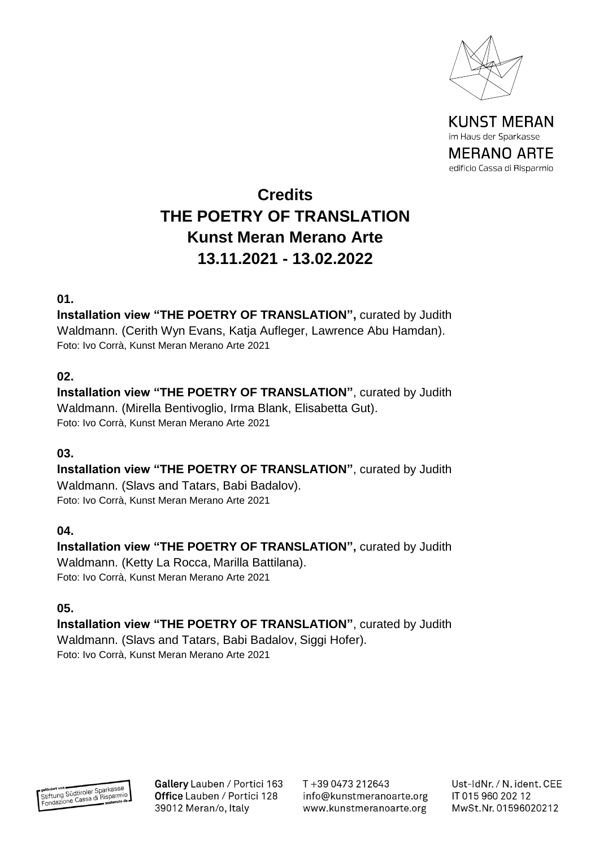

# **Credits THE POETRY OF TRANSLATION Kunst Meran Merano Arte 13.11.2021 - 13.02.2022**

#### **01.**

**Installation view "THE POETRY OF TRANSLATION",** curated by Judith Waldmann. (Cerith Wyn Evans, Katja Aufleger, Lawrence Abu Hamdan). Foto: Ivo Corrà, Kunst Meran Merano Arte 2021

## **02.**

**Installation view "THE POETRY OF TRANSLATION"**, curated by Judith Waldmann. (Mirella Bentivoglio, Irma Blank, Elisabetta Gut). Foto: Ivo Corrà, Kunst Meran Merano Arte 2021

#### **03.**

**Installation view "THE POETRY OF TRANSLATION"**, curated by Judith Waldmann. (Slavs and Tatars, Babi Badalov). Foto: Ivo Corrà, Kunst Meran Merano Arte 2021

#### **04.**

**Installation view "THE POETRY OF TRANSLATION",** curated by Judith Waldmann. (Ketty La Rocca, Marilla Battilana). Foto: Ivo Corrà, Kunst Meran Merano Arte 2021

#### **05.**

**Installation view "THE POETRY OF TRANSLATION"**, curated by Judith Waldmann. (Slavs and Tatars, Babi Badalov, Siggi Hofer). Foto: Ivo Corrà, Kunst Meran Merano Arte 2021



Gallery Lauben / Portici 163 Office Lauben / Portici 128 39012 Meran/o, Italy

T+39 0473 212643 info@kunstmeranoarte.org www.kunstmeranoarte.org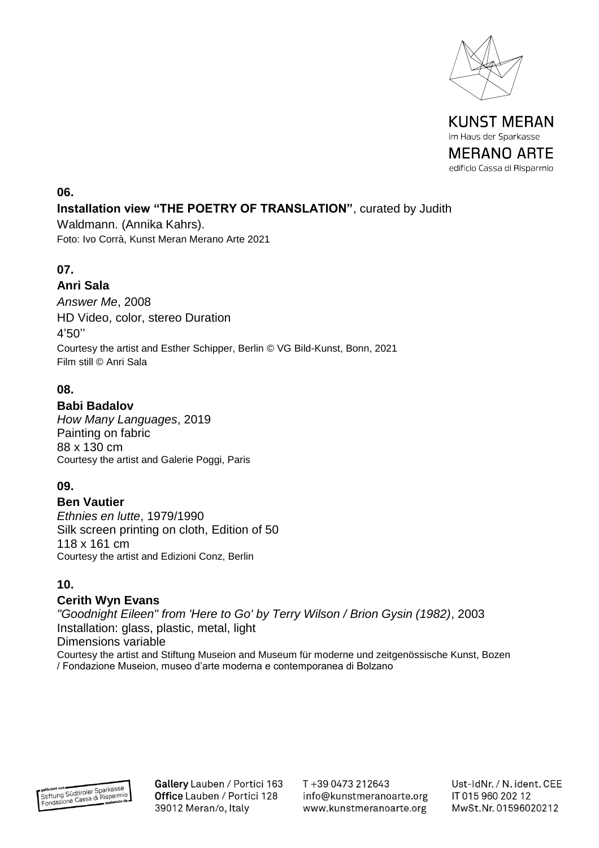



#### **06.**

## **Installation view "THE POETRY OF TRANSLATION"**, curated by Judith

Waldmann. (Annika Kahrs). Foto: Ivo Corrà, Kunst Meran Merano Arte 2021

## **07.**

## **Anri Sala**

*Answer Me*, 2008 HD Video, color, stereo Duration 4'50'' Courtesy the artist and Esther Schipper, Berlin © VG Bild-Kunst, Bonn, 2021 Film still © Anri Sala

## **08.**

#### **Babi Badalov**

*How Many Languages*, 2019 Painting on fabric 88 x 130 cm Courtesy the artist and Galerie Poggi, Paris

## **09.**

#### **Ben Vautier**

*Ethnies en lutte*, 1979/1990 Silk screen printing on cloth, Edition of 50 118 x 161 cm Courtesy the artist and Edizioni Conz, Berlin

## **10.**

#### **Cerith Wyn Evans**

*"Goodnight Eileen" from 'Here to Go' by Terry Wilson / Brion Gysin (1982)*, 2003 Installation: glass, plastic, metal, light Dimensions variable Courtesy the artist and Stiftung Museion and Museum für moderne und zeitgenössische Kunst, Bozen / Fondazione Museion, museo d'arte moderna e contemporanea di Bolzano

Gallery Lauben / Portici 163 Office Lauben / Portici 128 39012 Meran/o, Italy

T+39 0473 212643 info@kunstmeranoarte.org www.kunstmeranoarte.org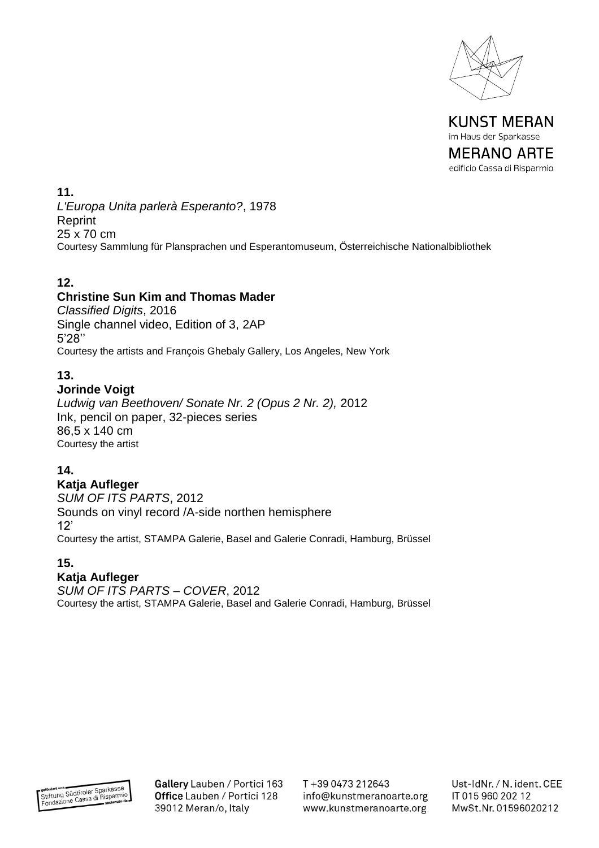

**11.** *L'Europa Unita parlerà Esperanto?*, 1978 Reprint 25 x 70 cm Courtesy Sammlung für Plansprachen und Esperantomuseum, Österreichische Nationalbibliothek

## **12.**

#### **Christine Sun Kim and Thomas Mader**

*Classified Digits*, 2016 Single channel video, Edition of 3, 2AP 5'28'' Courtesy the artists and François Ghebaly Gallery, Los Angeles, New York

## **13.**

#### **Jorinde Voigt**

*Ludwig van Beethoven/ Sonate Nr. 2 (Opus 2 Nr. 2),* 2012 Ink, pencil on paper, 32-pieces series 86,5 x 140 cm Courtesy the artist

#### **14.**

#### **Katja Aufleger**

*SUM OF ITS PARTS*, 2012 Sounds on vinyl record /A-side northen hemisphere 12' Courtesy the artist, STAMPA Galerie, Basel and Galerie Conradi, Hamburg, Brüssel

#### **15.**

## **Katja Aufleger**

*SUM OF ITS PARTS – COVER*, 2012 Courtesy the artist, STAMPA Galerie, Basel and Galerie Conradi, Hamburg, Brüssel



Gallery Lauben / Portici 163 Office Lauben / Portici 128 39012 Meran/o, Italy

T+39 0473 212643 info@kunstmeranoarte.org www.kunstmeranoarte.org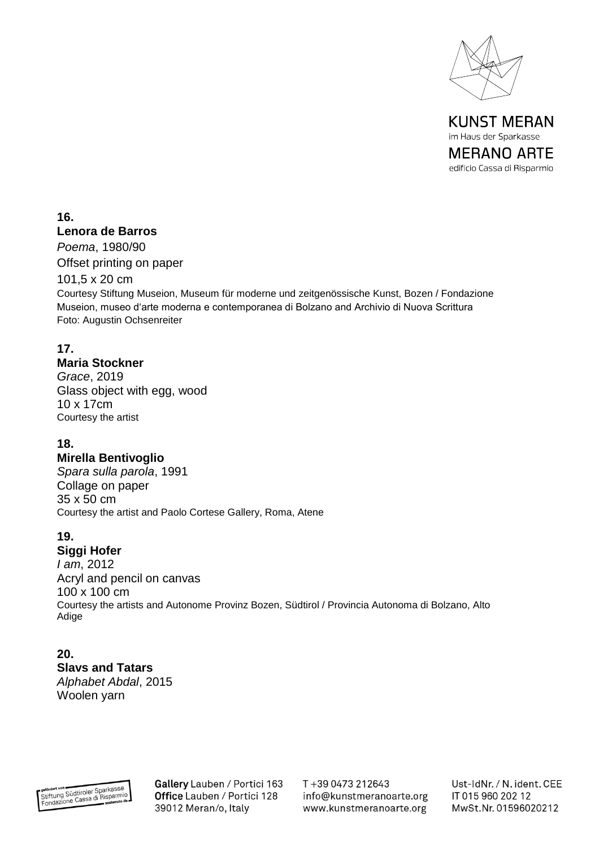

**16.**

#### **Lenora de Barros**

*Poema*, 1980/90 Offset printing on paper

101,5 x 20 cm

Courtesy Stiftung Museion, Museum für moderne und zeitgenössische Kunst, Bozen / Fondazione Museion, museo d'arte moderna e contemporanea di Bolzano and Archivio di Nuova Scrittura Foto: Augustin Ochsenreiter

#### **17.**

#### **Maria Stockner**

*Grace*, 2019 Glass object with egg, wood 10 x 17cm Courtesy the artist

#### **18.**

#### **Mirella Bentivoglio**

*Spara sulla parola*, 1991 Collage on paper 35 x 50 cm Courtesy the artist and Paolo Cortese Gallery, Roma, Atene

#### **19.**

#### **Siggi Hofer**

*I am*, 2012 Acryl and pencil on canvas 100 x 100 cm Courtesy the artists and Autonome Provinz Bozen, Südtirol / Provincia Autonoma di Bolzano, Alto Adige

**20. Slavs and Tatars** *Alphabet Abdal*, 2015 Woolen yarn



Gallery Lauben / Portici 163 Office Lauben / Portici 128 39012 Meran/o, Italy

T+39 0473 212643 info@kunstmeranoarte.org www.kunstmeranoarte.org